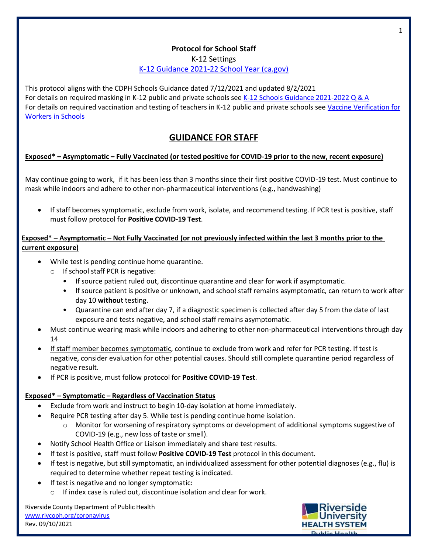## **Protocol for School Staff**

K-12 Settings

K-12 [Guidance](https://www.cdph.ca.gov/Programs/CID/DCDC/Pages/COVID-19/K-12-Guidance-2021-22-School-Year.aspx) 2021-22 School Year (ca.gov)

This protocol aligns with the CDPH Schools Guidance dated 7/12/2021 and updated 8/2/2021 For details on required masking in K-12 public and private schools see K-12 Schools Guidance [2021-2022](https://www.cdph.ca.gov/Programs/CID/DCDC/Pages/COVID-19/Schools-FAQ.aspx) Q & A For details on required vaccination and testing of teachers in K-12 public and private schools se[e Vaccine Verification for](https://www.cdph.ca.gov/Programs/CID/DCDC/Pages/COVID-19/Order-of-the-State-Public-Health-Officer-Vaccine-Verification-for-Workers-in-Schools.aspx) [Workers](https://www.cdph.ca.gov/Programs/CID/DCDC/Pages/COVID-19/Order-of-the-State-Public-Health-Officer-Vaccine-Verification-for-Workers-in-Schools.aspx) in Schools

# **GUIDANCE FOR STAFF**

## **Exposed\* – Asymptomatic – Fully Vaccinated (or tested positive for COVID-19 prior to the new, recent exposure)**

May continue going to work, if it has been less than 3 months since their first positive COVID-19 test. Must continue to mask while indoors and adhere to other non-pharmaceutical interventions (e.g., handwashing)

• If staff becomes symptomatic, exclude from work, isolate, and recommend testing. If PCR test is positive, staff must follow protocol for **Positive COVID-19 Test**.

### **Exposed\* – Asymptomatic – Not Fully Vaccinated (or not previously infected within the last 3 months prior to the current exposure)**

- While test is pending continue home quarantine.
	- o If school staff PCR is negative:
		- If source patient ruled out, discontinue quarantine and clear for work if asymptomatic.
		- If source patient is positive or unknown, and school staff remains asymptomatic, can return to work after day 10 **withou**t testing.
		- Quarantine can end after day 7, if a diagnostic specimen is collected after day 5 from the date of last exposure and tests negative, and school staff remains asymptomatic.
- Must continue wearing mask while indoors and adhering to other non-pharmaceutical interventions through day 14
- If staff member becomes symptomatic, continue to exclude from work and refer for PCR testing. If test is negative, consider evaluation for other potential causes. Should still complete quarantine period regardless of negative result.
- If PCR is positive, must follow protocol for **Positive COVID-19 Test**.

## **Exposed\* – Symptomatic – Regardless of Vaccination Status**

- Exclude from work and instruct to begin 10-day isolation at home immediately.
- Require PCR testing after day 5. While test is pending continue home isolation.
	- o Monitor for worsening of respiratory symptoms or development of additional symptoms suggestive of COVID-19 (e.g., new loss of taste or smell).
- Notify School Health Office or Liaison immediately and share test results.
- If test is positive, staff must follow **Positive COVID-19 Test** protocol in this document.
- If test is negative, but still symptomatic, an individualized assessment for other potential diagnoses (e.g., flu) is required to determine whether repeat testing is indicated.
- If test is negative and no longer symptomatic:
	- o If index case is ruled out, discontinue isolation and clear for work.

Riverside County Department of Public Health [www.rivcoph.org/coronavirus](http://www.rivcoph.org/coronavirus) Rev. 09/10/2021



1